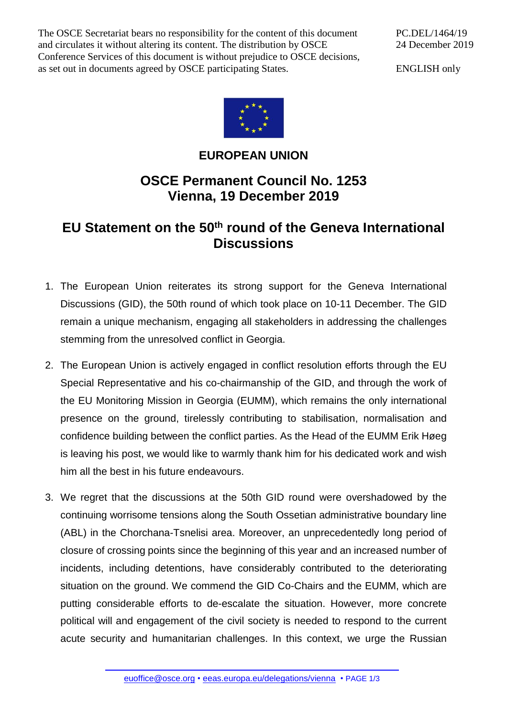The OSCE Secretariat bears no responsibility for the content of this document and circulates it without altering its content. The distribution by OSCE Conference Services of this document is without prejudice to OSCE decisions, as set out in documents agreed by OSCE participating States.

PC.DEL/1464/19 24 December 2019

ENGLISH only



## **EUROPEAN UNION**

## **OSCE Permanent Council No. 1253 Vienna, 19 December 2019**

## **EU Statement on the 50th round of the Geneva International Discussions**

- 1. The European Union reiterates its strong support for the Geneva International Discussions (GID), the 50th round of which took place on 10-11 December. The GID remain a unique mechanism, engaging all stakeholders in addressing the challenges stemming from the unresolved conflict in Georgia.
- 2. The European Union is actively engaged in conflict resolution efforts through the EU Special Representative and his co-chairmanship of the GID, and through the work of the EU Monitoring Mission in Georgia (EUMM), which remains the only international presence on the ground, tirelessly contributing to stabilisation, normalisation and confidence building between the conflict parties. As the Head of the EUMM Erik Høeg is leaving his post, we would like to warmly thank him for his dedicated work and wish him all the best in his future endeavours.
- 3. We regret that the discussions at the 50th GID round were overshadowed by the continuing worrisome tensions along the South Ossetian administrative boundary line (ABL) in the Chorchana-Tsnelisi area. Moreover, an unprecedentedly long period of closure of crossing points since the beginning of this year and an increased number of incidents, including detentions, have considerably contributed to the deteriorating situation on the ground. We commend the GID Co-Chairs and the EUMM, which are putting considerable efforts to de-escalate the situation. However, more concrete political will and engagement of the civil society is needed to respond to the current acute security and humanitarian challenges. In this context, we urge the Russian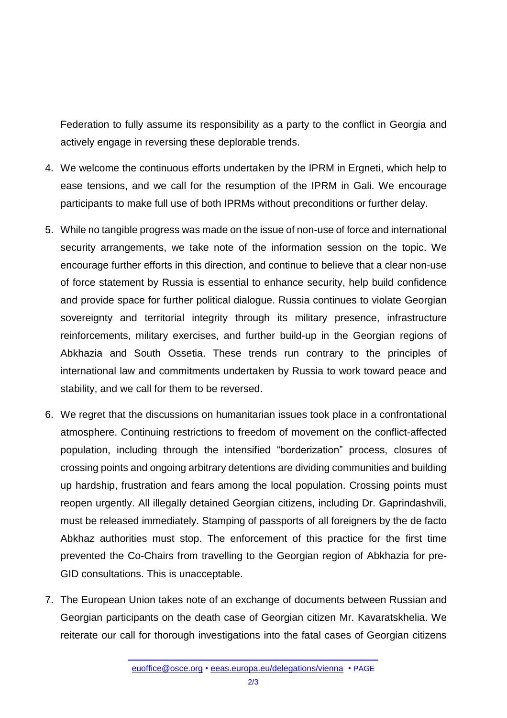Federation to fully assume its responsibility as a party to the conflict in Georgia and actively engage in reversing these deplorable trends.

- 4. We welcome the continuous efforts undertaken by the IPRM in Ergneti, which help to ease tensions, and we call for the resumption of the IPRM in Gali. We encourage participants to make full use of both IPRMs without preconditions or further delay.
- 5. While no tangible progress was made on the issue of non-use of force and international security arrangements, we take note of the information session on the topic. We encourage further efforts in this direction, and continue to believe that a clear non-use of force statement by Russia is essential to enhance security, help build confidence and provide space for further political dialogue. Russia continues to violate Georgian sovereignty and territorial integrity through its military presence, infrastructure reinforcements, military exercises, and further build-up in the Georgian regions of Abkhazia and South Ossetia. These trends run contrary to the principles of international law and commitments undertaken by Russia to work toward peace and stability, and we call for them to be reversed.
- 6. We regret that the discussions on humanitarian issues took place in a confrontational atmosphere. Continuing restrictions to freedom of movement on the conflict-affected population, including through the intensified "borderization" process, closures of crossing points and ongoing arbitrary detentions are dividing communities and building up hardship, frustration and fears among the local population. Crossing points must reopen urgently. All illegally detained Georgian citizens, including Dr. Gaprindashvili, must be released immediately. Stamping of passports of all foreigners by the de facto Abkhaz authorities must stop. The enforcement of this practice for the first time prevented the Co-Chairs from travelling to the Georgian region of Abkhazia for pre-GID consultations. This is unacceptable.
- 7. The European Union takes note of an exchange of documents between Russian and Georgian participants on the death case of Georgian citizen Mr. Kavaratskhelia. We reiterate our call for thorough investigations into the fatal cases of Georgian citizens